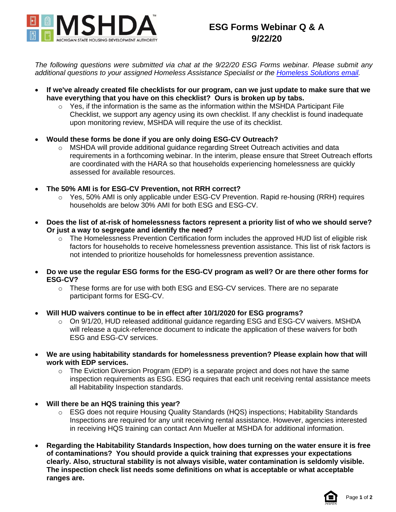

## **ESG Forms Webinar Q & A 9/22/20**

*The following questions were submitted via chat at the 9/22/20 ESG Forms webinar. Please submit any additional questions to your assigned Homeless Assistance Specialist or the [Homeless Solutions email.](mailto:mshda-hs@michigan.gov)*

- **If we've already created file checklists for our program, can we just update to make sure that we have everything that you have on this checklist? Ours is broken up by tabs.**
	- $\circ$  Yes, if the information is the same as the information within the MSHDA Participant File Checklist, we support any agency using its own checklist. If any checklist is found inadequate upon monitoring review, MSHDA will require the use of its checklist.
- **Would these forms be done if you are only doing ESG-CV Outreach?**
	- $\circ$  MSHDA will provide additional quidance regarding Street Outreach activities and data requirements in a forthcoming webinar. In the interim, please ensure that Street Outreach efforts are coordinated with the HARA so that households experiencing homelessness are quickly assessed for available resources.
- **The 50% AMI is for ESG-CV Prevention, not RRH correct?**
	- o Yes, 50% AMI is only applicable under ESG-CV Prevention. Rapid re-housing (RRH) requires households are below 30% AMI for both ESG and ESG-CV.
- **Does the list of at-risk of homelessness factors represent a priority list of who we should serve? Or just a way to segregate and identify the need?**
	- o The Homelessness Prevention Certification form includes the approved HUD list of eligible risk factors for households to receive homelessness prevention assistance. This list of risk factors is not intended to prioritize households for homelessness prevention assistance.
- **Do we use the regular ESG forms for the ESG-CV program as well? Or are there other forms for ESG-CV?**
	- $\circ$  These forms are for use with both ESG and ESG-CV services. There are no separate participant forms for ESG-CV.
- **Will HUD waivers continue to be in effect after 10/1/2020 for ESG programs?**
	- $\circ$  On 9/1/20, HUD released additional guidance regarding ESG and ESG-CV waivers. MSHDA will release a quick-reference document to indicate the application of these waivers for both ESG and ESG-CV services.
- **We are using habitability standards for homelessness prevention? Please explain how that will work with EDP services.**
	- $\circ$  The Eviction Diversion Program (EDP) is a separate project and does not have the same inspection requirements as ESG. ESG requires that each unit receiving rental assistance meets all Habitability Inspection standards.
- **Will there be an HQS training this year?**
	- o ESG does not require Housing Quality Standards (HQS) inspections; Habitability Standards Inspections are required for any unit receiving rental assistance. However, agencies interested in receiving HQS training can contact Ann Mueller at MSHDA for additional information.
- **Regarding the Habitability Standards Inspection, how does turning on the water ensure it is free of contaminations? You should provide a quick training that expresses your expectations clearly. Also, structural stability is not always visible, water contamination is seldomly visible. The inspection check list needs some definitions on what is acceptable or what acceptable ranges are.**